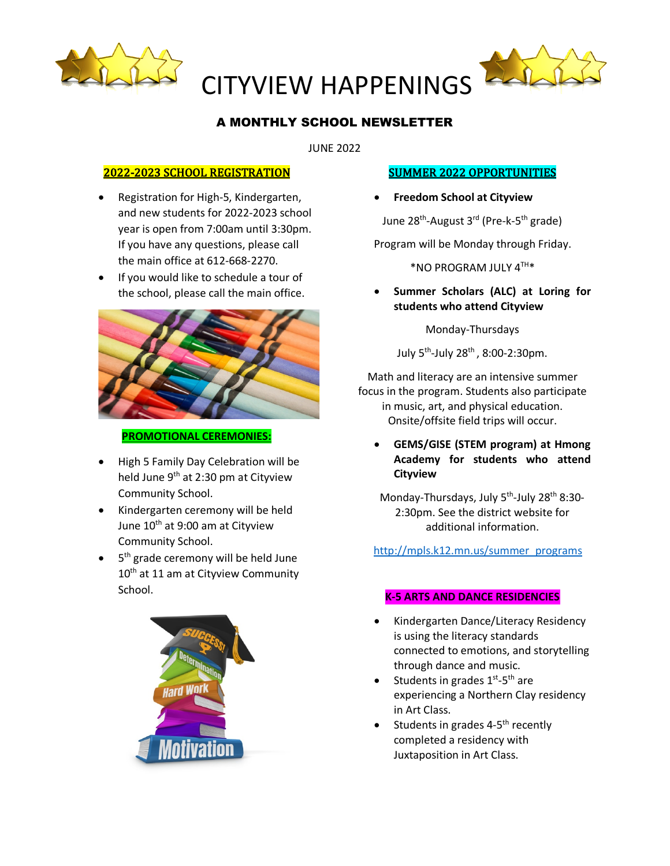



# A MONTHLY SCHOOL NEWSLETTER

JUNE 2022

## 2022-2023 SCHOOL REGISTRATION

- Registration for High-5, Kindergarten, and new students for 2022-2023 school year is open from 7:00am until 3:30pm. If you have any questions, please call the main office at 612-668-2270.
- If you would like to schedule a tour of the school, please call the main office.



#### **PROMOTIONAL CEREMONIES:**

- High 5 Family Day Celebration will be held June 9<sup>th</sup> at 2:30 pm at Cityview Community School.
- Kindergarten ceremony will be held June 10<sup>th</sup> at 9:00 am at Cityview Community School.
- 5<sup>th</sup> grade ceremony will be held June 10<sup>th</sup> at 11 am at Cityview Community School.



## **SUMMER 2022 OPPORTUNITIES**

• **Freedom School at Cityview**

June 28<sup>th</sup>-August 3<sup>rd</sup> (Pre-k-5<sup>th</sup> grade)

Program will be Monday through Friday.

\*NO PROGRAM JULY 4TH\*

• **Summer Scholars (ALC) at Loring for students who attend Cityview**

Monday-Thursdays

July  $5^{th}$ -July 28<sup>th</sup>, 8:00-2:30pm.

Math and literacy are an intensive summer focus in the program. Students also participate in music, art, and physical education. Onsite/offsite field trips will occur.

• **GEMS/GISE (STEM program) at Hmong Academy for students who attend Cityview**

Monday-Thursdays, July 5<sup>th</sup>-July 28<sup>th</sup> 8:30-2:30pm. See the district website for additional information.

## http://mpls.k12.mn.us/summer\_programs

#### **K-5 ARTS AND DANCE RESIDENCIES**

- Kindergarten Dance/Literacy Residency is using the literacy standards connected to emotions, and storytelling through dance and music.
- Students in grades  $1^{st}$ -5<sup>th</sup> are experiencing a Northern Clay residency in Art Class.
- Students in grades  $4-5$ <sup>th</sup> recently completed a residency with Juxtaposition in Art Class.